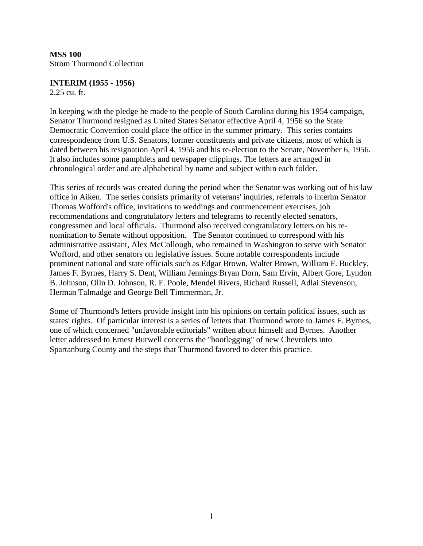**MSS 100**  Strom Thurmond Collection

## **INTERIM (1955 - 1956)**

2.25 cu. ft.

In keeping with the pledge he made to the people of South Carolina during his 1954 campaign, Senator Thurmond resigned as United States Senator effective April 4, 1956 so the State Democratic Convention could place the office in the summer primary. This series contains correspondence from U.S. Senators, former constituents and private citizens, most of which is dated between his resignation April 4, 1956 and his re-election to the Senate, November 6, 1956. It also includes some pamphlets and newspaper clippings. The letters are arranged in chronological order and are alphabetical by name and subject within each folder.

This series of records was created during the period when the Senator was working out of his law office in Aiken. The series consists primarily of veterans' inquiries, referrals to interim Senator Thomas Wofford's office, invitations to weddings and commencement exercises, job recommendations and congratulatory letters and telegrams to recently elected senators, congressmen and local officials. Thurmond also received congratulatory letters on his renomination to Senate without opposition. The Senator continued to correspond with his administrative assistant, Alex McCollough, who remained in Washington to serve with Senator Wofford, and other senators on legislative issues. Some notable correspondents include prominent national and state officials such as Edgar Brown, Walter Brown, William F. Buckley, James F. Byrnes, Harry S. Dent, William Jennings Bryan Dorn, Sam Ervin, Albert Gore, Lyndon B. Johnson, Olin D. Johnson, R. F. Poole, Mendel Rivers, Richard Russell, Adlai Stevenson, Herman Talmadge and George Bell Timmerman, Jr.

Some of Thurmond's letters provide insight into his opinions on certain political issues, such as states' rights. Of particular interest is a series of letters that Thurmond wrote to James F. Byrnes, one of which concerned "unfavorable editorials" written about himself and Byrnes. Another letter addressed to Ernest Burwell concerns the "bootlegging" of new Chevrolets into Spartanburg County and the steps that Thurmond favored to deter this practice.